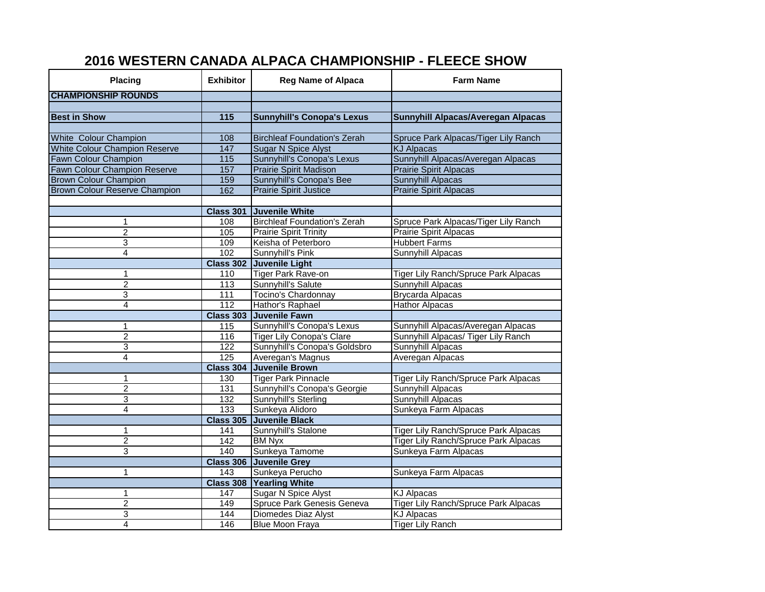## **2016 WESTERN CANADA ALPACA CHAMPIONSHIP - FLEECE SHOW**

| Placing                              | <b>Exhibitor</b>  | <b>Reg Name of Alpaca</b>           | <b>Farm Name</b>                            |  |
|--------------------------------------|-------------------|-------------------------------------|---------------------------------------------|--|
| <b>CHAMPIONSHIP ROUNDS</b>           |                   |                                     |                                             |  |
|                                      |                   |                                     |                                             |  |
| <b>Best in Show</b>                  | 115               | <b>Sunnyhill's Conopa's Lexus</b>   | Sunnyhill Alpacas/Averegan Alpacas          |  |
|                                      |                   |                                     |                                             |  |
| White Colour Champion                | 108               | <b>Birchleaf Foundation's Zerah</b> | Spruce Park Alpacas/Tiger Lily Ranch        |  |
| <b>White Colour Champion Reserve</b> | $\frac{147}{147}$ | <b>Sugar N Spice Alyst</b>          | <b>KJ Alpacas</b>                           |  |
| Fawn Colour Champion                 | $\frac{115}{115}$ | Sunnyhill's Conopa's Lexus          | Sunnyhill Alpacas/Averegan Alpacas          |  |
| <b>Fawn Colour Champion Reserve</b>  | 157               | <b>Prairie Spirit Madison</b>       | <b>Prairie Spirit Alpacas</b>               |  |
| <b>Brown Colour Champion</b>         | 159               | Sunnyhill's Conopa's Bee            | <b>Sunnyhill Alpacas</b>                    |  |
| <b>Brown Colour Reserve Champion</b> | 162               | <b>Prairie Spirit Justice</b>       | <b>Prairie Spirit Alpacas</b>               |  |
|                                      |                   |                                     |                                             |  |
|                                      | <b>Class 301</b>  | <b>Juvenile White</b>               |                                             |  |
| 1                                    | 108               | <b>Birchleaf Foundation's Zerah</b> | Spruce Park Alpacas/Tiger Lily Ranch        |  |
| $\overline{2}$                       | 105               | <b>Prairie Spirit Trinity</b>       | <b>Prairie Spirit Alpacas</b>               |  |
| 3                                    | 109               | Keisha of Peterboro                 | <b>Hubbert Farms</b>                        |  |
| 4                                    | 102               | Sunnyhill's Pink                    | Sunnyhill Alpacas                           |  |
|                                      |                   | Class 302 Juvenile Light            |                                             |  |
| 1                                    | 110               | <b>Tiger Park Rave-on</b>           | Tiger Lily Ranch/Spruce Park Alpacas        |  |
| $\overline{2}$                       | 113               | Sunnyhill's Salute                  | Sunnyhill Alpacas                           |  |
| 3                                    | $\frac{111}{111}$ | Tocino's Chardonnay                 | <b>Brycarda Alpacas</b>                     |  |
| 4                                    | 112               | Hathor's Raphael                    | <b>Hathor Alpacas</b>                       |  |
|                                      |                   | Class 303 Juvenile Fawn             |                                             |  |
| 1                                    | 115               | Sunnyhill's Conopa's Lexus          | Sunnyhill Alpacas/Averegan Alpacas          |  |
| $\overline{2}$                       | 116               | <b>Tiger Lily Conopa's Clare</b>    | Sunnyhill Alpacas/ Tiger Lily Ranch         |  |
| 3                                    | 122               | Sunnyhill's Conopa's Goldsbro       | Sunnyhill Alpacas                           |  |
| 4                                    | $\overline{125}$  | Averegan's Magnus                   | Averegan Alpacas                            |  |
|                                      |                   | Class 304 Juvenile Brown            |                                             |  |
| 1                                    | 130               | <b>Tiger Park Pinnacle</b>          | Tiger Lily Ranch/Spruce Park Alpacas        |  |
| $\overline{2}$                       | 131               | Sunnyhill's Conopa's Georgie        | Sunnyhill Alpacas                           |  |
| 3                                    | 132               | Sunnyhill's Sterling                | Sunnyhill Alpacas                           |  |
| 4                                    | 133               | Sunkeya Alidoro                     | Sunkeya Farm Alpacas                        |  |
|                                      | <b>Class 305</b>  | <b>Juvenile Black</b>               |                                             |  |
| 1                                    | 141               | Sunnyhill's Stalone                 | Tiger Lily Ranch/Spruce Park Alpacas        |  |
| $\overline{2}$                       | 142               | <b>BM Nyx</b>                       | <b>Tiger Lily Ranch/Spruce Park Alpacas</b> |  |
| 3                                    | 140               | Sunkeya Tamome                      | Sunkeya Farm Alpacas                        |  |
|                                      |                   | Class 306 Juvenile Grey             |                                             |  |
| 1                                    | $\overline{143}$  | Sunkeya Perucho                     | Sunkeya Farm Alpacas                        |  |
|                                      | <b>Class 308</b>  | <b>Yearling White</b>               |                                             |  |
| 1                                    | 147               | <b>Sugar N Spice Alyst</b>          | <b>KJ Alpacas</b>                           |  |
| $\overline{c}$                       | 149               | Spruce Park Genesis Geneva          | <b>Tiger Lily Ranch/Spruce Park Alpacas</b> |  |
| 3                                    | 144               | Diomedes Diaz Alyst                 | <b>KJ Alpacas</b>                           |  |
| 4                                    | 146               | <b>Blue Moon Fraya</b>              | <b>Tiger Lily Ranch</b>                     |  |